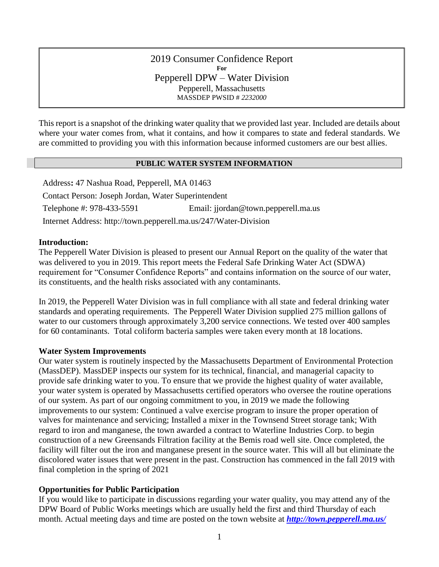2019 Consumer Confidence Report **For** Pepperell DPW – Water Division Pepperell, Massachusetts MASSDEP PWSID # *2232000*

This report is a snapshot of the drinking water quality that we provided last year. Included are details about where your water comes from, what it contains, and how it compares to state and federal standards. We are committed to providing you with this information because informed customers are our best allies.

#### **PUBLIC WATER SYSTEM INFORMATION**

Address**:** 47 Nashua Road, Pepperell, MA 01463 Contact Person: Joseph Jordan, Water Superintendent Telephone #: 978-433-5591 Email: jjordan@town.pepperell.ma.us Internet Address: http://town.pepperell.ma.us/247/Water-Division

### **Introduction:**

The Pepperell Water Division is pleased to present our Annual Report on the quality of the water that was delivered to you in 2019. This report meets the Federal Safe Drinking Water Act (SDWA) requirement for "Consumer Confidence Reports" and contains information on the source of our water, its constituents, and the health risks associated with any contaminants.

In 2019, the Pepperell Water Division was in full compliance with all state and federal drinking water standards and operating requirements. The Pepperell Water Division supplied 275 million gallons of water to our customers through approximately 3,200 service connections. We tested over 400 samples for 60 contaminants. Total coliform bacteria samples were taken every month at 18 locations.

## **Water System Improvements**

Our water system is routinely inspected by the Massachusetts Department of Environmental Protection (MassDEP). MassDEP inspects our system for its technical, financial, and managerial capacity to provide safe drinking water to you. To ensure that we provide the highest quality of water available, your water system is operated by Massachusetts certified operators who oversee the routine operations of our system. As part of our ongoing commitment to you, in 2019 we made the following improvements to our system: Continued a valve exercise program to insure the proper operation of valves for maintenance and servicing; Installed a mixer in the Townsend Street storage tank; With regard to iron and manganese, the town awarded a contract to Waterline Industries Corp. to begin construction of a new Greensands Filtration facility at the Bemis road well site. Once completed, the facility will filter out the iron and manganese present in the source water. This will all but eliminate the discolored water issues that were present in the past. Construction has commenced in the fall 2019 with final completion in the spring of 2021

## **Opportunities for Public Participation**

If you would like to participate in discussions regarding your water quality, you may attend any of the DPW Board of Public Works meetings which are usually held the first and third Thursday of each month. Actual meeting days and time are posted on the town website at *<http://town.pepperell.ma.us/>*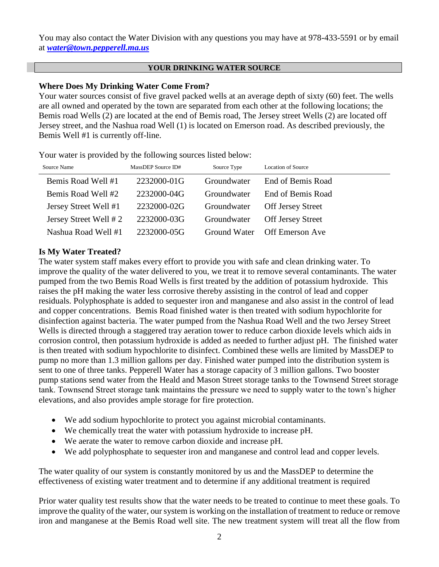You may also contact the Water Division with any questions you may have at 978-433-5591 or by email at *[water@town.pepperell.ma.us](mailto:water@town.pepperell.ma.us)*

### **YOUR DRINKING WATER SOURCE**

## **Where Does My Drinking Water Come From?**

Your water sources consist of five gravel packed wells at an average depth of sixty (60) feet. The wells are all owned and operated by the town are separated from each other at the following locations; the Bemis road Wells (2) are located at the end of Bemis road, The Jersey street Wells (2) are located off Jersey street, and the Nashua road Well (1) is located on Emerson road. As described previously, the Bemis Well #1 is currently off-line.

Your water is provided by the following sources listed below:

| Source Name           | MassDEP Source ID# | Source Type  | <b>Location of Source</b> |
|-----------------------|--------------------|--------------|---------------------------|
| Bemis Road Well #1    | 2232000-01G        | Groundwater  | End of Bemis Road         |
| Bemis Road Well #2    | 2232000-04G        | Groundwater  | End of Bemis Road         |
| Jersey Street Well #1 | 2232000-02G        | Groundwater  | <b>Off Jersey Street</b>  |
| Jersey Street Well #2 | 2232000-03G        | Groundwater  | <b>Off Jersey Street</b>  |
| Nashua Road Well #1   | 2232000-05G        | Ground Water | <b>Off Emerson Ave</b>    |

## **Is My Water Treated?**

The water system staff makes every effort to provide you with safe and clean drinking water. To improve the quality of the water delivered to you, we treat it to remove several contaminants. The water pumped from the two Bemis Road Wells is first treated by the addition of potassium hydroxide. This raises the pH making the water less corrosive thereby assisting in the control of lead and copper residuals. Polyphosphate is added to sequester iron and manganese and also assist in the control of lead and copper concentrations. Bemis Road finished water is then treated with sodium hypochlorite for disinfection against bacteria. The water pumped from the Nashua Road Well and the two Jersey Street Wells is directed through a staggered tray aeration tower to reduce carbon dioxide levels which aids in corrosion control, then potassium hydroxide is added as needed to further adjust pH. The finished water is then treated with sodium hypochlorite to disinfect. Combined these wells are limited by MassDEP to pump no more than 1.3 million gallons per day. Finished water pumped into the distribution system is sent to one of three tanks. Pepperell Water has a storage capacity of 3 million gallons. Two booster pump stations send water from the Heald and Mason Street storage tanks to the Townsend Street storage tank. Townsend Street storage tank maintains the pressure we need to supply water to the town's higher elevations, and also provides ample storage for fire protection.

- We add sodium hypochlorite to protect you against microbial contaminants.
- We chemically treat the water with potassium hydroxide to increase pH.
- We aerate the water to remove carbon dioxide and increase pH.
- We add polyphosphate to sequester iron and manganese and control lead and copper levels.

The water quality of our system is constantly monitored by us and the MassDEP to determine the effectiveness of existing water treatment and to determine if any additional treatment is required

Prior water quality test results show that the water needs to be treated to continue to meet these goals. To improve the quality of the water, our system is working on the installation of treatment to reduce or remove iron and manganese at the Bemis Road well site. The new treatment system will treat all the flow from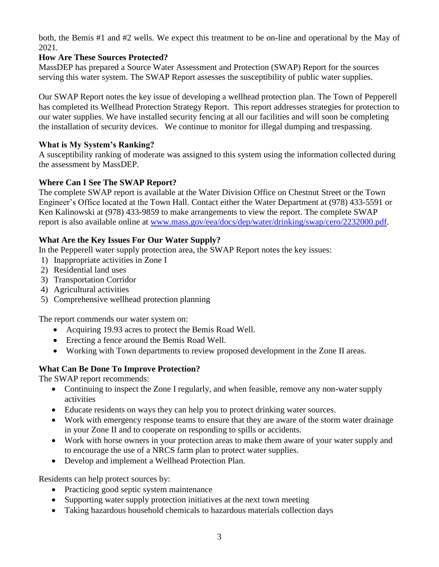both, the Bemis #1 and #2 wells. We expect this treatment to be on-line and operational by the May of 2021.

## **How Are These Sources Protected?**

MassDEP has prepared a Source Water Assessment and Protection (SWAP) Report for the sources serving this water system. The SWAP Report assesses the susceptibility of public water supplies.

Our SWAP Report notes the key issue of developing a wellhead protection plan. The Town of Pepperell has completed its Wellhead Protection Strategy Report. This report addresses strategies for protection to our water supplies. We have installed security fencing at all our facilities and will soon be completing the installation of security devices.We continue to monitor for illegal dumping and trespassing.

## **What is My System's Ranking?**

A susceptibility ranking of moderate was assigned to this system using the information collected during the assessment by MassDEP.

## **Where Can I See The SWAP Report?**

The complete SWAP report is available at the Water Division Office on Chestnut Street or the Town Engineer's Office located at the Town Hall. Contact either the Water Department at (978) 433-5591 or Ken Kalinowski at (978) 433-9859 to make arrangements to view the report. The complete SWAP report is also available online at [www.mass.gov/eea/docs/dep/water/drinking/swap/cero/2232000.pdf.](http://www.mass.gov/eea/docs/dep/water/drinking/swap/cero/2232000.pdf)

## **What Are the Key Issues For Our Water Supply?**

In the Pepperell water supply protection area, the SWAP Report notes the key issues:

- 1) Inappropriate activities in Zone I
- 2) Residential land uses
- 3) Transportation Corridor
- 4) Agricultural activities
- 5) Comprehensive wellhead protection planning

The report commends our water system on:

- Acquiring 19.93 acres to protect the Bemis Road Well.
- Erecting a fence around the Bemis Road Well.
- Working with Town departments to review proposed development in the Zone II areas.

# **What Can Be Done To Improve Protection?**

The SWAP report recommends:

- Continuing to inspect the Zone I regularly, and when feasible, remove any non-water supply activities
- Educate residents on ways they can help you to protect drinking water sources.
- Work with emergency response teams to ensure that they are aware of the storm water drainage in your Zone II and to cooperate on responding to spills or accidents.
- Work with horse owners in your protection areas to make them aware of your water supply and to encourage the use of a NRCS farm plan to protect water supplies.
- Develop and implement a Wellhead Protection Plan.

Residents can help protect sources by:

- Practicing good septic system maintenance
- Supporting water supply protection initiatives at the next town meeting
- Taking hazardous household chemicals to hazardous materials collection days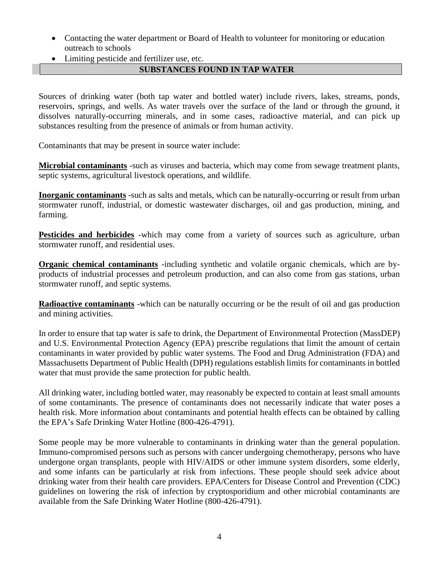- Contacting the water department or Board of Health to volunteer for monitoring or education outreach to schools
- Limiting pesticide and fertilizer use, etc.

# **SUBSTANCES FOUND IN TAP WATER**

Sources of drinking water (both tap water and bottled water) include rivers, lakes, streams, ponds, reservoirs, springs, and wells. As water travels over the surface of the land or through the ground, it dissolves naturally-occurring minerals, and in some cases, radioactive material, and can pick up substances resulting from the presence of animals or from human activity.

Contaminants that may be present in source water include:

**Microbial contaminants** -such as viruses and bacteria, which may come from sewage treatment plants, septic systems, agricultural livestock operations, and wildlife.

**Inorganic contaminants** -such as salts and metals, which can be naturally-occurring or result from urban stormwater runoff, industrial, or domestic wastewater discharges, oil and gas production, mining, and farming.

**Pesticides and herbicides** -which may come from a variety of sources such as agriculture, urban stormwater runoff, and residential uses.

**Organic chemical contaminants** -including synthetic and volatile organic chemicals, which are byproducts of industrial processes and petroleum production, and can also come from gas stations, urban stormwater runoff, and septic systems.

**Radioactive contaminants** -which can be naturally occurring or be the result of oil and gas production and mining activities.

In order to ensure that tap water is safe to drink, the Department of Environmental Protection (MassDEP) and U.S. Environmental Protection Agency (EPA) prescribe regulations that limit the amount of certain contaminants in water provided by public water systems. The Food and Drug Administration (FDA) and Massachusetts Department of Public Health (DPH) regulations establish limits for contaminants in bottled water that must provide the same protection for public health.

All drinking water, including bottled water, may reasonably be expected to contain at least small amounts of some contaminants. The presence of contaminants does not necessarily indicate that water poses a health risk. More information about contaminants and potential health effects can be obtained by calling the EPA's Safe Drinking Water Hotline (800-426-4791).

Some people may be more vulnerable to contaminants in drinking water than the general population. Immuno-compromised persons such as persons with cancer undergoing chemotherapy, persons who have undergone organ transplants, people with HIV/AIDS or other immune system disorders, some elderly, and some infants can be particularly at risk from infections. These people should seek advice about drinking water from their health care providers. EPA/Centers for Disease Control and Prevention (CDC) guidelines on lowering the risk of infection by cryptosporidium and other microbial contaminants are available from the Safe Drinking Water Hotline (800-426-4791).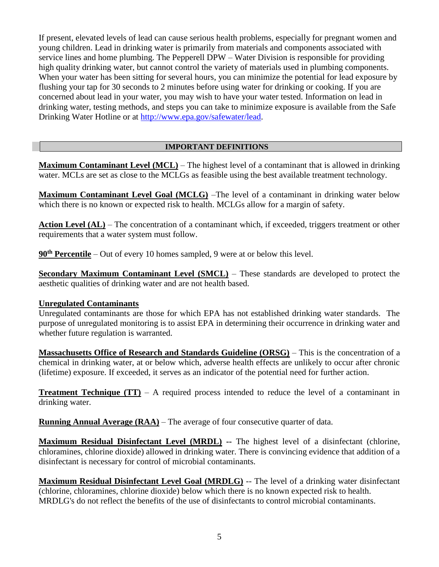If present, elevated levels of lead can cause serious health problems, especially for pregnant women and young children. Lead in drinking water is primarily from materials and components associated with service lines and home plumbing. The Pepperell DPW – Water Division is responsible for providing high quality drinking water, but cannot control the variety of materials used in plumbing components. When your water has been sitting for several hours, you can minimize the potential for lead exposure by flushing your tap for 30 seconds to 2 minutes before using water for drinking or cooking. If you are concerned about lead in your water, you may wish to have your water tested. Information on lead in drinking water, testing methods, and steps you can take to minimize exposure is available from the Safe Drinking Water Hotline or at [http://www.epa.gov/safewater/lead.](http://www.epa.gov/safewater/lead)

## **IMPORTANT DEFINITIONS**

**Maximum Contaminant Level (MCL)** – The highest level of a contaminant that is allowed in drinking water. MCLs are set as close to the MCLGs as feasible using the best available treatment technology.

**Maximum Contaminant Level Goal (MCLG)** –The level of a contaminant in drinking water below which there is no known or expected risk to health. MCLGs allow for a margin of safety.

Action Level (AL) – The concentration of a contaminant which, if exceeded, triggers treatment or other requirements that a water system must follow.

**90th Percentile** – Out of every 10 homes sampled, 9 were at or below this level.

**Secondary Maximum Contaminant Level (SMCL)** – These standards are developed to protect the aesthetic qualities of drinking water and are not health based.

## **Unregulated Contaminants**

Unregulated contaminants are those for which EPA has not established drinking water standards. The purpose of unregulated monitoring is to assist EPA in determining their occurrence in drinking water and whether future regulation is warranted.

**Massachusetts Office of Research and Standards Guideline (ORSG)** – This is the concentration of a chemical in drinking water, at or below which, adverse health effects are unlikely to occur after chronic (lifetime) exposure. If exceeded, it serves as an indicator of the potential need for further action.

**Treatment Technique (TT)** – A required process intended to reduce the level of a contaminant in drinking water.

**Running Annual Average (RAA)** – The average of four consecutive quarter of data.

**Maximum Residual Disinfectant Level (MRDL) --** The highest level of a disinfectant (chlorine, chloramines, chlorine dioxide) allowed in drinking water. There is convincing evidence that addition of a disinfectant is necessary for control of microbial contaminants.

**Maximum Residual Disinfectant Level Goal (MRDLG)** -- The level of a drinking water disinfectant (chlorine, chloramines, chlorine dioxide) below which there is no known expected risk to health. MRDLG's do not reflect the benefits of the use of disinfectants to control microbial contaminants.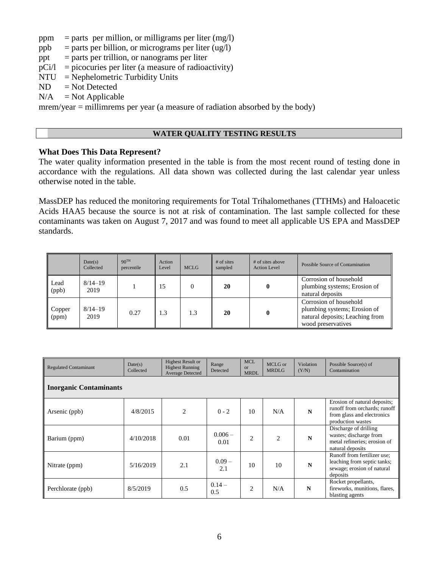- ppm = parts per million, or milligrams per liter  $(mg/l)$
- ppb = parts per billion, or micrograms per liter  $\left(\frac{ug}{l}\right)$
- ppt  $=$  parts per trillion, or nanograms per liter
- $pCi/1 = picocuries per liter (a measure of radioactivity)$
- NTU = Nephelometric Turbidity Units
- $ND = Not$  Detected
- $N/A$  = Not Applicable

mrem/year = millimrems per year (a measure of radiation absorbed by the body)

## **WATER QUALITY TESTING RESULTS**

### **What Does This Data Represent?**

The water quality information presented in the table is from the most recent round of testing done in accordance with the regulations. All data shown was collected during the last calendar year unless otherwise noted in the table.

MassDEP has reduced the monitoring requirements for Total Trihalomethanes (TTHMs) and Haloacetic Acids HAA5 because the source is not at risk of contamination. The last sample collected for these contaminants was taken on August 7, 2017 and was found to meet all applicable US EPA and MassDEP standards.

|                 | Date(s)<br>Collected | 90 <sup>TH</sup><br>percentile | Action<br>Level | <b>MCLG</b> | $#$ of sites<br>sampled | # of sites above<br><b>Action Level</b> | Possible Source of Contamination                                                                                |
|-----------------|----------------------|--------------------------------|-----------------|-------------|-------------------------|-----------------------------------------|-----------------------------------------------------------------------------------------------------------------|
| Lead<br>(ppb)   | $8/14 - 19$<br>2019  |                                | 15              |             | 20                      | $\mathbf{0}$                            | Corrosion of household<br>plumbing systems; Erosion of<br>natural deposits                                      |
| Copper<br>(ppm) | $8/14 - 19$<br>2019  | 0.27                           | 1.3             | 1.3         | 20                      |                                         | Corrosion of household<br>plumbing systems; Erosion of<br>natural deposits; Leaching from<br>wood preservatives |

| <b>Regulated Contaminant</b>  | Date(s)<br>Collected | <b>Highest Result or</b><br><b>Highest Running</b><br>Average Detected | Range<br>Detected | <b>MCL</b><br><b>or</b><br><b>MRDL</b> | MCLG or<br><b>MRDLG</b> | Violation<br>(Y/N) | Possible Source(s) of<br>Contamination                                                                          |  |  |
|-------------------------------|----------------------|------------------------------------------------------------------------|-------------------|----------------------------------------|-------------------------|--------------------|-----------------------------------------------------------------------------------------------------------------|--|--|
| <b>Inorganic Contaminants</b> |                      |                                                                        |                   |                                        |                         |                    |                                                                                                                 |  |  |
| Arsenic (ppb)                 | 4/8/2015             | $\overline{c}$                                                         | $0 - 2$           | 10                                     | N/A                     | N                  | Erosion of natural deposits;<br>runoff from orchards; runoff<br>from glass and electronics<br>production wastes |  |  |
| Barium (ppm)                  | 4/10/2018            | 0.01                                                                   | $0.006 -$<br>0.01 | $\overline{2}$                         | $\overline{c}$          | N                  | Discharge of drilling<br>wastes; discharge from<br>metal refineries; erosion of<br>natural deposits             |  |  |
| Nitrate (ppm)                 | 5/16/2019            | 2.1                                                                    | $0.09 -$<br>2.1   | 10                                     | 10                      | N                  | Runoff from fertilizer use:<br>leaching from septic tanks;<br>sewage; erosion of natural<br>deposits            |  |  |
| Perchlorate (ppb)             | 8/5/2019             | 0.5                                                                    | $0.14 -$<br>0.5   | $\overline{c}$                         | N/A                     | $\mathbf N$        | Rocket propellants,<br>fireworks, munitions, flares,<br>blasting agents                                         |  |  |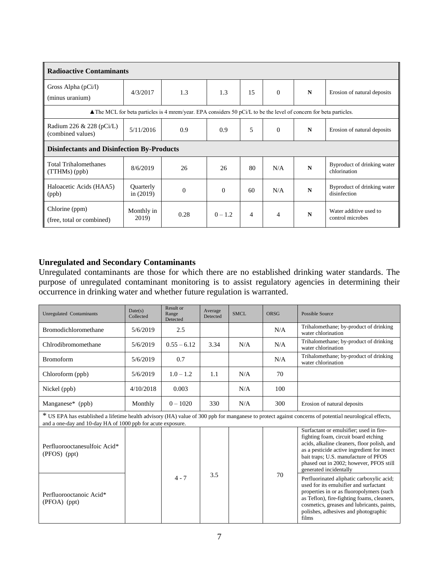| <b>Radioactive Contaminants</b>                   |                                                                                                                  |          |           |    |                          |   |                                             |  |
|---------------------------------------------------|------------------------------------------------------------------------------------------------------------------|----------|-----------|----|--------------------------|---|---------------------------------------------|--|
| Gross Alpha $(pCi/l)$<br>(minus uranium)          | 4/3/2017                                                                                                         | 1.3      | 1.3       | 15 | $\Omega$                 | N | Erosion of natural deposits                 |  |
|                                                   | The MCL for beta particles is 4 mrem/year. EPA considers 50 pCi/L to be the level of concern for beta particles. |          |           |    |                          |   |                                             |  |
| Radium 226 & 228 (pCi/L)<br>(combined values)     | 5/11/2016                                                                                                        | 0.9      | 0.9       | 5  | $\Omega$                 | N | Erosion of natural deposits                 |  |
| <b>Disinfectants and Disinfection By-Products</b> |                                                                                                                  |          |           |    |                          |   |                                             |  |
| <b>Total Trihalomethanes</b><br>$(TTHMs)$ (ppb)   | 8/6/2019                                                                                                         | 26       | 26        | 80 | N/A                      | N | Byproduct of drinking water<br>chlorination |  |
| Haloacetic Acids (HAA5)<br>(ppb)                  | Quarterly<br>in $(2019)$                                                                                         | $\Omega$ | $\Omega$  | 60 | N/A                      | N | Byproduct of drinking water<br>disinfection |  |
| Chlorine (ppm)<br>(free, total or combined)       | Monthly in<br>2019)                                                                                              | 0.28     | $0 - 1.2$ | 4  | $\overline{\mathcal{A}}$ | N | Water additive used to<br>control microbes  |  |

## **Unregulated and Secondary Contaminants**

Unregulated contaminants are those for which there are no established drinking water standards. The purpose of unregulated contaminant monitoring is to assist regulatory agencies in determining their occurrence in drinking water and whether future regulation is warranted.

| <b>Unregulated Contaminants</b>                             | Date(s)<br>Collected | Result or<br>Range<br>Detected | Average<br>Detected | SMCL. | ORSG | Possible Source                                                                                                                                                                                                                                                                            |
|-------------------------------------------------------------|----------------------|--------------------------------|---------------------|-------|------|--------------------------------------------------------------------------------------------------------------------------------------------------------------------------------------------------------------------------------------------------------------------------------------------|
| <b>Bromodichloromethane</b>                                 | 5/6/2019             | 2.5                            |                     |       | N/A  | Trihalomethane; by-product of drinking<br>water chlorination                                                                                                                                                                                                                               |
| Chlrodibromomethane                                         | 5/6/2019             | $0.55 - 6.12$                  | 3.34                | N/A   | N/A  | Trihalomethane; by-product of drinking<br>water chlorination                                                                                                                                                                                                                               |
| <b>Bromoform</b>                                            | 5/6/2019             | 0.7                            |                     |       | N/A  | Trihalomethane; by-product of drinking<br>water chlorination                                                                                                                                                                                                                               |
| Chloroform (ppb)                                            | 5/6/2019             | $1.0 - 1.2$                    | 1.1                 | N/A   | 70   |                                                                                                                                                                                                                                                                                            |
| Nickel (ppb)                                                | 4/10/2018            | 0.003                          |                     | N/A   | 100  |                                                                                                                                                                                                                                                                                            |
| Manganese* (ppb)                                            | Monthly              | $0 - 1020$                     | 330                 | N/A   | 300  | Erosion of natural deposits                                                                                                                                                                                                                                                                |
| and a one-day and 10-day HA of 1000 ppb for acute exposure. |                      |                                |                     |       |      | * US EPA has established a lifetime health advisory (HA) value of 300 ppb for manganese to protect against concerns of potential neurological effects,                                                                                                                                     |
| Perfluorooctanesulfoic Acid*<br>(PFOS) (ppt)                |                      |                                |                     |       |      | Surfactant or emulsifier; used in fire-<br>fighting foam, circuit board etching<br>acids, alkaline cleaners, floor polish, and<br>as a pesticide active ingredient for insect<br>bait traps; U.S. manufacture of PFOS<br>phased out in 2002; however, PFOS still<br>generated incidentally |
| Perfluorooctanoic Acid*<br>(PFOA) (ppt)                     |                      | $4 - 7$                        | 3.5                 |       | 70   | Perfluorinated aliphatic carboxylic acid;<br>used for its emulsifier and surfactant<br>properties in or as fluoropolymers (such<br>as Teflon), fire-fighting foams, cleaners,<br>cosmetics, greases and lubricants, paints,<br>polishes, adhesives and photographic<br>films               |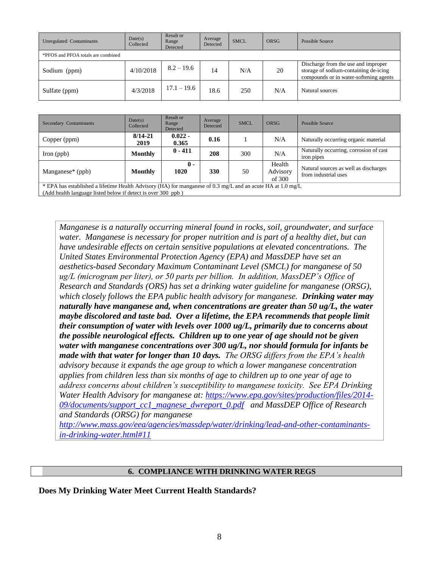| Unregulated Contaminants           | Date(s)<br>Collected | Result or<br>Range<br>Detected | Average<br>Detected | <b>SMCL</b> | <b>ORSG</b> | Possible Source                                                                                                        |
|------------------------------------|----------------------|--------------------------------|---------------------|-------------|-------------|------------------------------------------------------------------------------------------------------------------------|
| *PFOS and PFOA totals are combined |                      |                                |                     |             |             |                                                                                                                        |
| Sodium (ppm)                       | 4/10/2018            | $8.2 - 19.6$                   | 14                  | N/A         | 20          | Discharge from the use and improper<br>storage of sodium-containing de-icing<br>compounds or in water-softening agents |
| Sulfate (ppm)                      | 4/3/2018             | $17.1 - 19.6$                  | 18.6                | 250         | N/A         | Natural sources                                                                                                        |

| Secondary Contaminants                                                                                                                                                      | Date(s)<br>Collected                                                                                                                              | Result or<br>Range<br>Detected | Average<br>Detected | <b>SMCL</b> | <b>ORSG</b> | <b>Possible Source</b>                               |  |
|-----------------------------------------------------------------------------------------------------------------------------------------------------------------------------|---------------------------------------------------------------------------------------------------------------------------------------------------|--------------------------------|---------------------|-------------|-------------|------------------------------------------------------|--|
| Copper (ppm)                                                                                                                                                                | $8/14 - 21$<br>2019                                                                                                                               | $0.022 -$<br>0.365             | 0.16                |             | N/A         | Naturally occurring organic material                 |  |
| Iron $(ppb)$                                                                                                                                                                | Monthly                                                                                                                                           | $0 - 411$                      | 208                 | 300         | N/A         | Naturally occurring, corrosion of cast<br>iron pipes |  |
| Manganese <sup><math>*</math></sup> (ppb)                                                                                                                                   | $\mathbf{0}$ -<br>Health<br>Natural sources as well as discharges<br>1020<br>330<br>Advisory<br>50<br>Monthly<br>from industrial uses<br>of $300$ |                                |                     |             |             |                                                      |  |
| * EPA has established a lifetime Health Advisory (HA) for manganese of 0.3 mg/L and an acute HA at 1.0 mg/L<br>(Add health language listed below if detect is over 300 ppb) |                                                                                                                                                   |                                |                     |             |             |                                                      |  |

*Manganese is a naturally occurring mineral found in rocks, soil, groundwater, and surface water. Manganese is necessary for proper nutrition and is part of a healthy diet, but can have undesirable effects on certain sensitive populations at elevated concentrations. The United States Environmental Protection Agency (EPA) and MassDEP have set an aesthetics-based Secondary Maximum Contaminant Level (SMCL) for manganese of 50 ug/L (microgram per liter), or 50 parts per billion. In addition, MassDEP's Office of Research and Standards (ORS) has set a drinking water guideline for manganese (ORSG), which closely follows the EPA public health advisory for manganese. Drinking water may naturally have manganese and, when concentrations are greater than 50 ug/L, the water maybe discolored and taste bad. Over a lifetime, the EPA recommends that people limit their consumption of water with levels over 1000 ug/L, primarily due to concerns about the possible neurological effects. Children up to one year of age should not be given water with manganese concentrations over 300 ug/L, nor should formula for infants be made with that water for longer than 10 days. The ORSG differs from the EPA's health advisory because it expands the age group to which a lower manganese concentration applies from children less than six months of age to children up to one year of age to address concerns about children's susceptibility to manganese toxicity. See EPA Drinking Water Health Advisory for manganese at: [https://www.epa.gov/sites/production/files/2014-](https://www.epa.gov/sites/production/files/2014-09/documents/support_cc1_magnese_dwreport_0.pdf) [09/documents/support\\_cc1\\_magnese\\_dwreport\\_0.pdf](https://www.epa.gov/sites/production/files/2014-09/documents/support_cc1_magnese_dwreport_0.pdf) and MassDEP Office of Research and Standards (ORSG) for manganese* 

*[http://www.mass.gov/eea/agencies/massdep/water/drinking/lead-and-other-contaminants](http://www.mass.gov/eea/agencies/massdep/water/drinking/lead-and-other-contaminants-in-drinking-water.html#11)[in-drinking-water.html#11](http://www.mass.gov/eea/agencies/massdep/water/drinking/lead-and-other-contaminants-in-drinking-water.html#11)*

#### **6. COMPLIANCE WITH DRINKING WATER REGS**

**Does My Drinking Water Meet Current Health Standards?**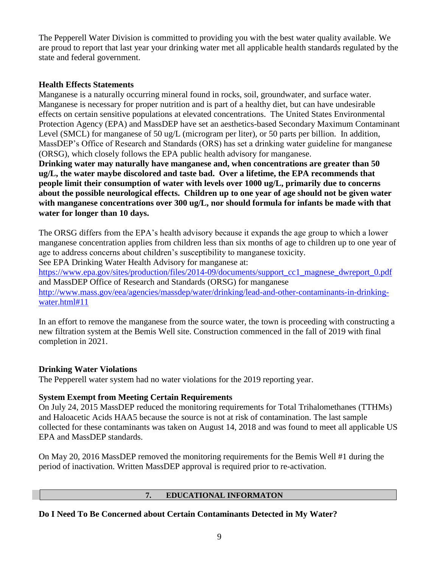The Pepperell Water Division is committed to providing you with the best water quality available. We are proud to report that last year your drinking water met all applicable health standards regulated by the state and federal government.

## **Health Effects Statements**

Manganese is a naturally occurring mineral found in rocks, soil, groundwater, and surface water. Manganese is necessary for proper nutrition and is part of a healthy diet, but can have undesirable effects on certain sensitive populations at elevated concentrations. The United States Environmental Protection Agency (EPA) and MassDEP have set an aesthetics-based Secondary Maximum Contaminant Level (SMCL) for manganese of 50 ug/L (microgram per liter), or 50 parts per billion. In addition, MassDEP's Office of Research and Standards (ORS) has set a drinking water guideline for manganese (ORSG), which closely follows the EPA public health advisory for manganese.

**Drinking water may naturally have manganese and, when concentrations are greater than 50 ug/L, the water maybe discolored and taste bad. Over a lifetime, the EPA recommends that people limit their consumption of water with levels over 1000 ug/L, primarily due to concerns about the possible neurological effects. Children up to one year of age should not be given water with manganese concentrations over 300 ug/L, nor should formula for infants be made with that water for longer than 10 days.** 

The ORSG differs from the EPA's health advisory because it expands the age group to which a lower manganese concentration applies from children less than six months of age to children up to one year of age to address concerns about children's susceptibility to manganese toxicity.

See EPA Drinking Water Health Advisory for manganese at:

[https://www.epa.gov/sites/production/files/2014-09/documents/support\\_cc1\\_magnese\\_dwreport\\_0.pdf](https://www.epa.gov/sites/production/files/2014-09/documents/support_cc1_magnese_dwreport_0.pdf)  and MassDEP Office of Research and Standards (ORSG) for manganese

[http://www.mass.gov/eea/agencies/massdep/water/drinking/lead-and-other-contaminants-in-drinking](http://www.mass.gov/eea/agencies/massdep/water/drinking/lead-and-other-contaminants-in-drinking-water.html#11)[water.html#11](http://www.mass.gov/eea/agencies/massdep/water/drinking/lead-and-other-contaminants-in-drinking-water.html#11)

In an effort to remove the manganese from the source water, the town is proceeding with constructing a new filtration system at the Bemis Well site. Construction commenced in the fall of 2019 with final completion in 2021.

## **Drinking Water Violations**

The Pepperell water system had no water violations for the 2019 reporting year.

## **System Exempt from Meeting Certain Requirements**

On July 24, 2015 MassDEP reduced the monitoring requirements for Total Trihalomethanes (TTHMs) and Haloacetic Acids HAA5 because the source is not at risk of contamination. The last sample collected for these contaminants was taken on August 14, 2018 and was found to meet all applicable US EPA and MassDEP standards.

On May 20, 2016 MassDEP removed the monitoring requirements for the Bemis Well #1 during the period of inactivation. Written MassDEP approval is required prior to re-activation.

## **7. EDUCATIONAL INFORMATON**

**Do I Need To Be Concerned about Certain Contaminants Detected in My Water?**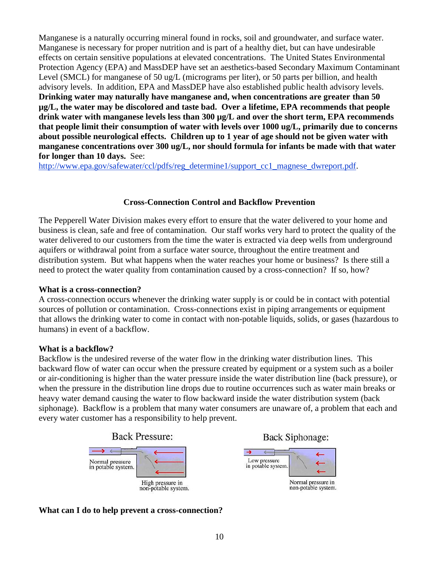Manganese is a naturally occurring mineral found in rocks, soil and groundwater, and surface water. Manganese is necessary for proper nutrition and is part of a healthy diet, but can have undesirable effects on certain sensitive populations at elevated concentrations. The United States Environmental Protection Agency (EPA) and MassDEP have set an aesthetics-based Secondary Maximum Contaminant Level (SMCL) for manganese of 50 ug/L (micrograms per liter), or 50 parts per billion, and health advisory levels. In addition, EPA and MassDEP have also established public health advisory levels. **Drinking water may naturally have manganese and, when concentrations are greater than 50 µg/L, the water may be discolored and taste bad. Over a lifetime, EPA recommends that people drink water with manganese levels less than 300 µg/L and over the short term, EPA recommends that people limit their consumption of water with levels over 1000 ug/L, primarily due to concerns about possible neurological effects. Children up to 1 year of age should not be given water with manganese concentrations over 300 ug/L, nor should formula for infants be made with that water for longer than 10 days.** See:

[http://www.epa.gov/safewater/ccl/pdfs/reg\\_determine1/support\\_cc1\\_magnese\\_dwreport.pdf.](http://www.epa.gov/safewater/ccl/pdfs/reg_determine1/support_cc1_magnese_dwreport.pdf)

## **Cross-Connection Control and Backflow Prevention**

The Pepperell Water Division makes every effort to ensure that the water delivered to your home and business is clean, safe and free of contamination. Our staff works very hard to protect the quality of the water delivered to our customers from the time the water is extracted via deep wells from underground aquifers or withdrawal point from a surface water source, throughout the entire treatment and distribution system. But what happens when the water reaches your home or business? Is there still a need to protect the water quality from contamination caused by a cross-connection? If so, how?

## **What is a cross-connection?**

A cross-connection occurs whenever the drinking water supply is or could be in contact with potential sources of pollution or contamination. Cross-connections exist in piping arrangements or equipment that allows the drinking water to come in contact with non-potable liquids, solids, or gases (hazardous to humans) in event of a backflow.

## **What is a backflow?**

Backflow is the undesired reverse of the water flow in the drinking water distribution lines. This backward flow of water can occur when the pressure created by equipment or a system such as a boiler or air-conditioning is higher than the water pressure inside the water distribution line (back pressure), or when the pressure in the distribution line drops due to routine occurrences such as water main breaks or heavy water demand causing the water to flow backward inside the water distribution system (back siphonage). Backflow is a problem that many water consumers are unaware of, a problem that each and every water customer has a responsibility to help prevent.





#### **What can I do to help prevent a cross-connection?**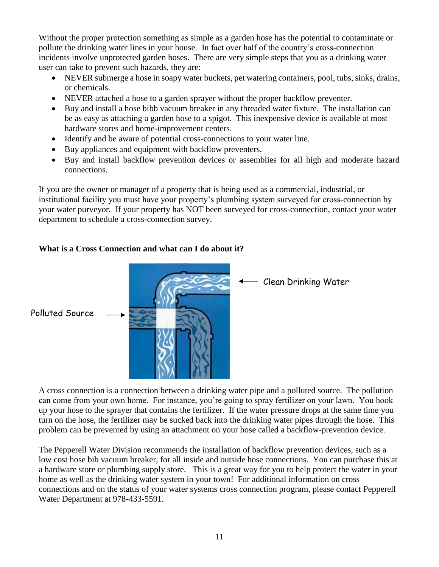Without the proper protection something as simple as a garden hose has the potential to contaminate or pollute the drinking water lines in your house. In fact over half of the country's cross-connection incidents involve unprotected garden hoses. There are very simple steps that you as a drinking water user can take to prevent such hazards, they are:

- NEVER submerge a hose in soapy water buckets, pet watering containers, pool, tubs, sinks, drains, or chemicals.
- NEVER attached a hose to a garden sprayer without the proper backflow preventer.
- Buy and install a hose bibb vacuum breaker in any threaded water fixture. The installation can be as easy as attaching a garden hose to a spigot. This inexpensive device is available at most hardware stores and home-improvement centers.
- Identify and be aware of potential cross-connections to your water line.
- Buy appliances and equipment with backflow preventers.
- Buy and install backflow prevention devices or assemblies for all high and moderate hazard connections.

If you are the owner or manager of a property that is being used as a commercial, industrial, or institutional facility you must have your property's plumbing system surveyed for cross-connection by your water purveyor. If your property has NOT been surveyed for cross-connection, contact your water department to schedule a cross-connection survey.

# **What is a Cross Connection and what can I do about it?**



A cross connection is a connection between a drinking water pipe and a polluted source. The pollution can come from your own home. For instance, you're going to spray fertilizer on your lawn. You hook up your hose to the sprayer that contains the fertilizer. If the water pressure drops at the same time you turn on the hose, the fertilizer may be sucked back into the drinking water pipes through the hose. This problem can be prevented by using an attachment on your hose called a backflow-prevention device.

The Pepperell Water Division recommends the installation of backflow prevention devices, such as a low cost hose bib vacuum breaker, for all inside and outside hose connections. You can purchase this at a hardware store or plumbing supply store. This is a great way for you to help protect the water in your home as well as the drinking water system in your town! For additional information on cross connections and on the status of your water systems cross connection program, please contact Pepperell Water Department at 978-433-5591.